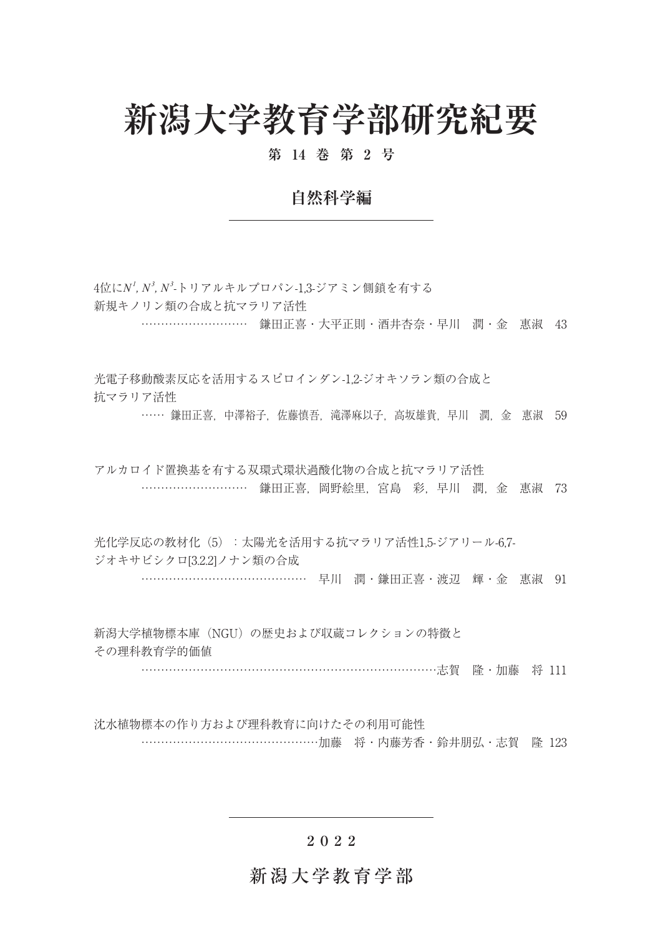# **新潟大学教育学部研究紀要**

#### **第 14 巻 第 2 号**

## **自然科学編**

4位に*N<sup>1</sup> , N<sup>3</sup> , N<sup>3</sup>* -トリアルキルプロパン-1,3-ジアミン側鎖を有する 新規キノリン類の合成と抗マラリア活性

………………………………… 鎌田正喜・大平正則・酒井杏奈・早川 潤・金 惠淑 43

光電子移動酸素反応を活用するスピロインダン-1,2-ジオキソラン類の合成と 抗マラリア活性

…… 鎌田正喜, 中澤裕子, 佐藤慎吾, 滝澤麻以子, 高坂雄貴, 早川, 潤, 金, 惠淑, 59

アルカロイド置換基を有する双環式環状過酸化物の合成と抗マラリア活性 ……………………………………… 鎌田正喜, 岡野絵里, 宮島 彩, 早川 潤, 金 惠淑 73

光化学反応の教材化(5):太陽光を活用する抗マラリア活性1,5-ジアリール-6,7-ジオキサビシクロ[3.2.2]ノナン類の合成 早川 潤・鎌田正喜・渡辺 輝・金 惠淑 91

新潟大学植物標本庫(NGU)の歴史および収蔵コレクションの特徴と その理科教育学的価値

…………………………………………………………………………………志賀 降 · 加藤 将 111

沈水植物標本の作り方および理科教育に向けたその利用可能性 …………………………………………………加藤 将·内藤芳香·鈴井朋弘·志賀 降 123

#### **2022**

### 新潟大学教育学部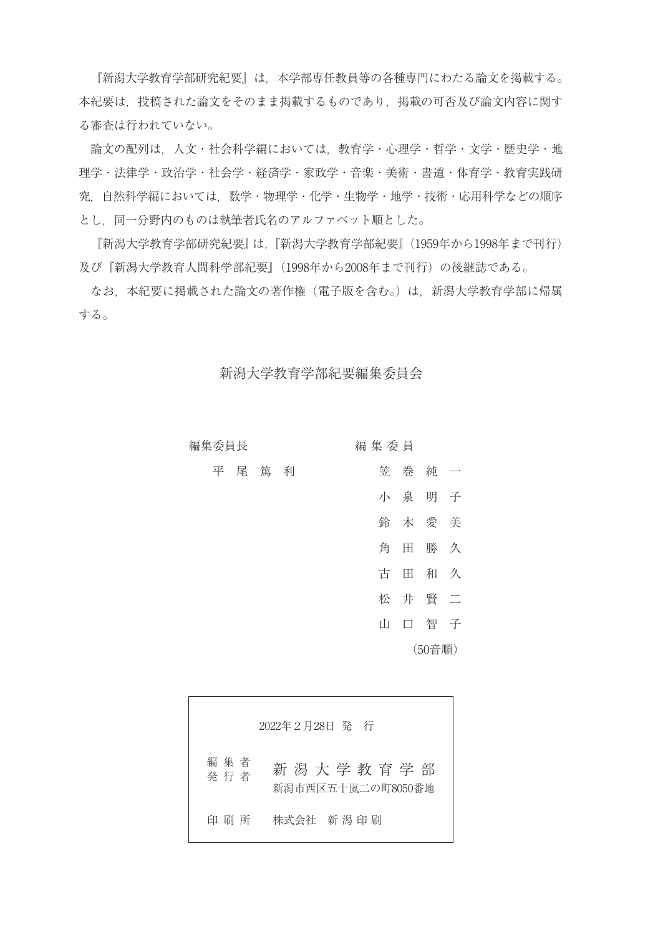『新潟大学教育学部研究紀要』は,本学部専任教員等の各種専門にわたる論文を掲載する。 本紀要は,投稿された論文をそのまま掲載するものであり,掲載の可否及び論文内容に関す る審査は行われていない。

 論文の配列は,人文・社会科学編においては,教育学・心理学・哲学・文学・歴史学・地 理学・法律学・政治学・社会学・経済学・家政学・音楽・美術・書道・体育学・教育実践研 究,自然科学編においては,数学・物理学・化学・生物学・地学・技術・応用科学などの順序 とし,同一分野内のものは執筆者氏名のアルファベット順とした。

 『新潟大学教育学部研究紀要』は, 『新潟大学教育学部紀要』(1959年から1998年まで刊行) 及び『新潟大学教育人間科学部紀要』(1998年から2008年まで刊行)の後継誌である。

 なお,本紀要に掲載された論文の著作権(電子版を含む。)は,新潟大学教育学部に帰属 する。

新潟大学教育学部紀要編集委員会

|                          |     |       | 編集委員 |   |     | 編集委員長 |
|--------------------------|-----|-------|------|---|-----|-------|
| $\overline{\phantom{0}}$ | 純   | 巻     | 笠    | 利 | 尾 篤 | 平     |
|                          | 明 子 | 小 泉   |      |   |     |       |
|                          |     | 木 愛 美 | 鈴    |   |     |       |
| 久                        | 勝   | 田     | 角    |   |     |       |
| 久                        | 和   | 田     | 古    |   |     |       |
| 一二                       | 井賢  |       | 松    |   |     |       |
| 子                        | 智   | 口     | Ш    |   |     |       |
| (50音順)                   |     |       |      |   |     |       |

|                | 2022年2月28日 発 行                       |
|----------------|--------------------------------------|
| 編 集 者<br>発 行 者 | 新 潟 大 学 教 育 学 部<br>新潟市西区五十嵐二の町8050番地 |
| 印 刷 所          | 株式会社 新潟 印刷                           |